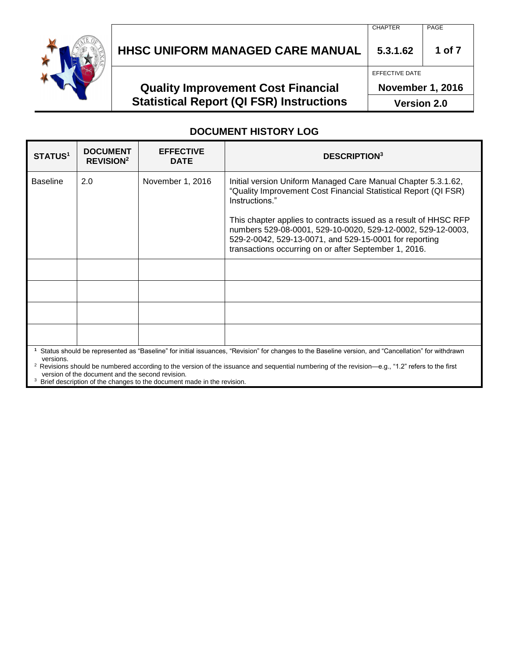

# **HHSC UNIFORM MANAGED CARE MANUAL 5.3.1.62 1 of 7**

## **Quality Improvement Cost Financial Statistical Report (QI FSR) Instructions**

EFFECTIVE DATE

**November 1, 2016**

**Version 2.0**

#### **DOCUMENT HISTORY LOG**

| <b>STATUS<sup>1</sup></b> | <b>DOCUMENT</b><br><b>REVISION<sup>2</sup></b>   | <b>EFFECTIVE</b><br><b>DATE</b> | <b>DESCRIPTION3</b>                                                                                                                                                                                                                                                                                                                             |  |
|---------------------------|--------------------------------------------------|---------------------------------|-------------------------------------------------------------------------------------------------------------------------------------------------------------------------------------------------------------------------------------------------------------------------------------------------------------------------------------------------|--|
| <b>Baseline</b>           | 2.0                                              | November 1, 2016                | Initial version Uniform Managed Care Manual Chapter 5.3.1.62,<br>"Quality Improvement Cost Financial Statistical Report (QI FSR)<br>Instructions."<br>This chapter applies to contracts issued as a result of HHSC RFP<br>numbers 529-08-0001, 529-10-0020, 529-12-0002, 529-12-0003,<br>529-2-0042, 529-13-0071, and 529-15-0001 for reporting |  |
|                           |                                                  |                                 | transactions occurring on or after September 1, 2016.                                                                                                                                                                                                                                                                                           |  |
|                           |                                                  |                                 |                                                                                                                                                                                                                                                                                                                                                 |  |
|                           |                                                  |                                 |                                                                                                                                                                                                                                                                                                                                                 |  |
|                           |                                                  |                                 |                                                                                                                                                                                                                                                                                                                                                 |  |
|                           |                                                  |                                 |                                                                                                                                                                                                                                                                                                                                                 |  |
| versions.                 | version of the document and the second revision. |                                 | Status should be represented as "Baseline" for initial issuances, "Revision" for changes to the Baseline version, and "Cancellation" for withdrawn<br>Revisions should be numbered according to the version of the issuance and sequential numbering of the revision—e.g., "1.2" refers to the first                                            |  |

<sup>3</sup> Brief description of the changes to the document made in the revision.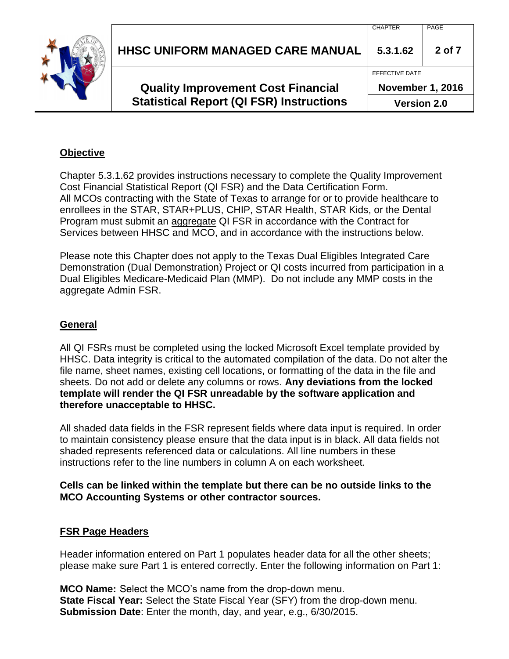| <b>Statistical Report (QI FSR) Instructions</b> | <b>Version 2.0</b>      |            |
|-------------------------------------------------|-------------------------|------------|
| <b>Quality Improvement Cost Financial</b>       | <b>November 1, 2016</b> |            |
|                                                 | EFFECTIVE DATE          |            |
| <b>HHSC UNIFORM MANAGED CARE MANUAL</b>         | 5.3.1.62                | $2$ of $7$ |
|                                                 | <b>CHAPTER</b>          | PAGE       |

#### **Objective**

Chapter 5.3.1.62 provides instructions necessary to complete the Quality Improvement Cost Financial Statistical Report (QI FSR) and the Data Certification Form. All MCOs contracting with the State of Texas to arrange for or to provide healthcare to enrollees in the STAR, STAR+PLUS, CHIP, STAR Health, STAR Kids, or the Dental Program must submit an aggregate QI FSR in accordance with the Contract for Services between HHSC and MCO, and in accordance with the instructions below.

Please note this Chapter does not apply to the Texas Dual Eligibles Integrated Care Demonstration (Dual Demonstration) Project or QI costs incurred from participation in a Dual Eligibles Medicare-Medicaid Plan (MMP). Do not include any MMP costs in the aggregate Admin FSR.

#### **General**

All QI FSRs must be completed using the locked Microsoft Excel template provided by HHSC. Data integrity is critical to the automated compilation of the data. Do not alter the file name, sheet names, existing cell locations, or formatting of the data in the file and sheets. Do not add or delete any columns or rows. **Any deviations from the locked template will render the QI FSR unreadable by the software application and therefore unacceptable to HHSC.**

All shaded data fields in the FSR represent fields where data input is required. In order to maintain consistency please ensure that the data input is in black. All data fields not shaded represents referenced data or calculations. All line numbers in these instructions refer to the line numbers in column A on each worksheet.

#### **Cells can be linked within the template but there can be no outside links to the MCO Accounting Systems or other contractor sources.**

#### **FSR Page Headers**

Header information entered on Part 1 populates header data for all the other sheets; please make sure Part 1 is entered correctly. Enter the following information on Part 1:

**MCO Name:** Select the MCO's name from the drop-down menu. **State Fiscal Year:** Select the State Fiscal Year (SFY) from the drop-down menu. **Submission Date**: Enter the month, day, and year, e.g., 6/30/2015.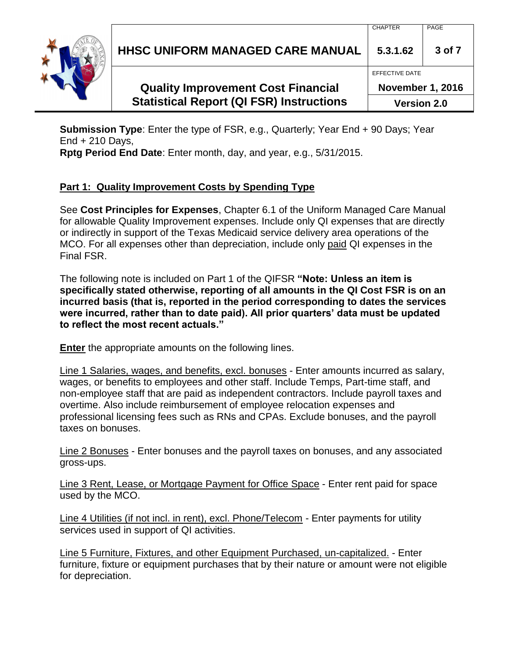**HHSC UNIFORM MANAGED CARE MANUAL 5.3.1.62 3 of 7**

## **Quality Improvement Cost Financial Statistical Report (QI FSR) Instructions**

EFFECTIVE DATE

CHAPTER PAGE

**November 1, 2016**

**Version 2.0**

**Submission Type**: Enter the type of FSR, e.g., Quarterly; Year End + 90 Days; Year End + 210 Days,

**Rptg Period End Date**: Enter month, day, and year, e.g., 5/31/2015.

## **Part 1: Quality Improvement Costs by Spending Type**

See **Cost Principles for Expenses**, Chapter 6.1 of the Uniform Managed Care Manual for allowable Quality Improvement expenses. Include only QI expenses that are directly or indirectly in support of the Texas Medicaid service delivery area operations of the MCO. For all expenses other than depreciation, include only paid QI expenses in the Final FSR.

The following note is included on Part 1 of the QIFSR **"Note: Unless an item is specifically stated otherwise, reporting of all amounts in the QI Cost FSR is on an incurred basis (that is, reported in the period corresponding to dates the services were incurred, rather than to date paid). All prior quarters' data must be updated to reflect the most recent actuals."** 

**Enter** the appropriate amounts on the following lines.

Line 1 Salaries, wages, and benefits, excl. bonuses - Enter amounts incurred as salary, wages, or benefits to employees and other staff. Include Temps, Part-time staff, and non-employee staff that are paid as independent contractors. Include payroll taxes and overtime. Also include reimbursement of employee relocation expenses and professional licensing fees such as RNs and CPAs. Exclude bonuses, and the payroll taxes on bonuses.

Line 2 Bonuses - Enter bonuses and the payroll taxes on bonuses, and any associated gross-ups.

Line 3 Rent, Lease, or Mortgage Payment for Office Space - Enter rent paid for space used by the MCO.

Line 4 Utilities (if not incl. in rent), excl. Phone/Telecom - Enter payments for utility services used in support of QI activities.

Line 5 Furniture, Fixtures, and other Equipment Purchased, un-capitalized. - Enter furniture, fixture or equipment purchases that by their nature or amount were not eligible for depreciation.

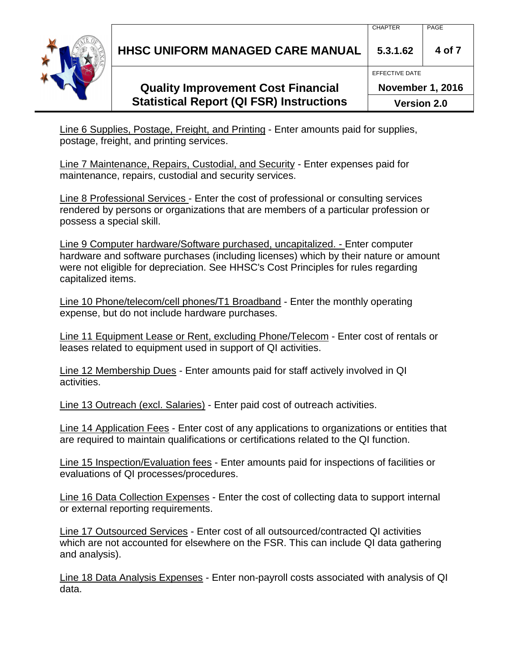**HHSC UNIFORM MANAGED CARE MANUAL 5.3.1.62 4 of 7**

# **Quality Improvement Cost Financial Statistical Report (QI FSR) Instructions**

**November 1, 2016 Version 2.0**

Line 6 Supplies, Postage, Freight, and Printing - Enter amounts paid for supplies, postage, freight, and printing services.

Line 7 Maintenance, Repairs, Custodial, and Security - Enter expenses paid for maintenance, repairs, custodial and security services.

Line 8 Professional Services - Enter the cost of professional or consulting services rendered by persons or organizations that are members of a particular profession or possess a special skill.

Line 9 Computer hardware/Software purchased, uncapitalized. - Enter computer hardware and software purchases (including licenses) which by their nature or amount were not eligible for depreciation. See HHSC's Cost Principles for rules regarding capitalized items.

Line 10 Phone/telecom/cell phones/T1 Broadband - Enter the monthly operating expense, but do not include hardware purchases.

Line 11 Equipment Lease or Rent, excluding Phone/Telecom - Enter cost of rentals or leases related to equipment used in support of QI activities.

Line 12 Membership Dues - Enter amounts paid for staff actively involved in QI activities.

Line 13 Outreach (excl. Salaries) - Enter paid cost of outreach activities.

Line 14 Application Fees - Enter cost of any applications to organizations or entities that are required to maintain qualifications or certifications related to the QI function.

Line 15 Inspection/Evaluation fees - Enter amounts paid for inspections of facilities or evaluations of QI processes/procedures.

Line 16 Data Collection Expenses - Enter the cost of collecting data to support internal or external reporting requirements.

Line 17 Outsourced Services - Enter cost of all outsourced/contracted QI activities which are not accounted for elsewhere on the FSR. This can include QI data gathering and analysis).

Line 18 Data Analysis Expenses - Enter non-payroll costs associated with analysis of QI data.



EFFECTIVE DATE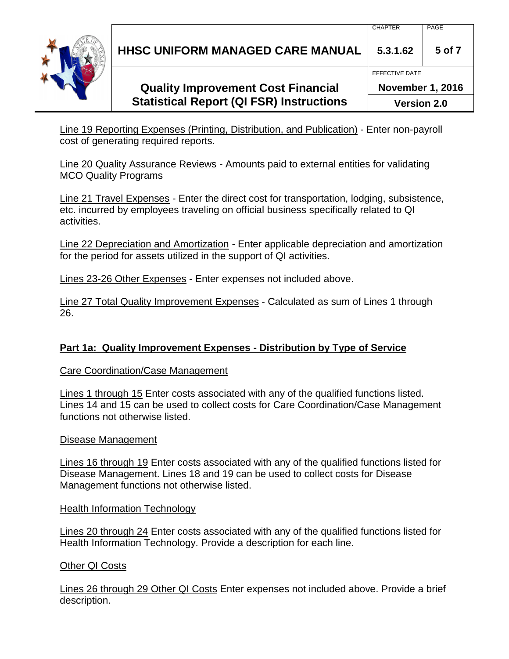**HHSC UNIFORM MANAGED CARE MANUAL 5.3.1.62 5 of 7**

# **Quality Improvement Cost Financial Statistical Report (QI FSR) Instructions**

**November 1, 2016 Version 2.0**

CHAPTER PAGE

EFFECTIVE DATE

Line 19 Reporting Expenses (Printing, Distribution, and Publication) - Enter non-payroll cost of generating required reports.

Line 20 Quality Assurance Reviews - Amounts paid to external entities for validating MCO Quality Programs

Line 21 Travel Expenses - Enter the direct cost for transportation, lodging, subsistence, etc. incurred by employees traveling on official business specifically related to QI activities.

Line 22 Depreciation and Amortization - Enter applicable depreciation and amortization for the period for assets utilized in the support of QI activities.

Lines 23-26 Other Expenses - Enter expenses not included above.

Line 27 Total Quality Improvement Expenses - Calculated as sum of Lines 1 through 26.

## **Part 1a: Quality Improvement Expenses - Distribution by Type of Service**

#### Care Coordination/Case Management

Lines 1 through 15 Enter costs associated with any of the qualified functions listed. Lines 14 and 15 can be used to collect costs for Care Coordination/Case Management functions not otherwise listed.

#### Disease Management

Lines 16 through 19 Enter costs associated with any of the qualified functions listed for Disease Management. Lines 18 and 19 can be used to collect costs for Disease Management functions not otherwise listed.

#### Health Information Technology

Lines 20 through 24 Enter costs associated with any of the qualified functions listed for Health Information Technology. Provide a description for each line.

#### Other QI Costs

Lines 26 through 29 Other QI Costs Enter expenses not included above. Provide a brief description.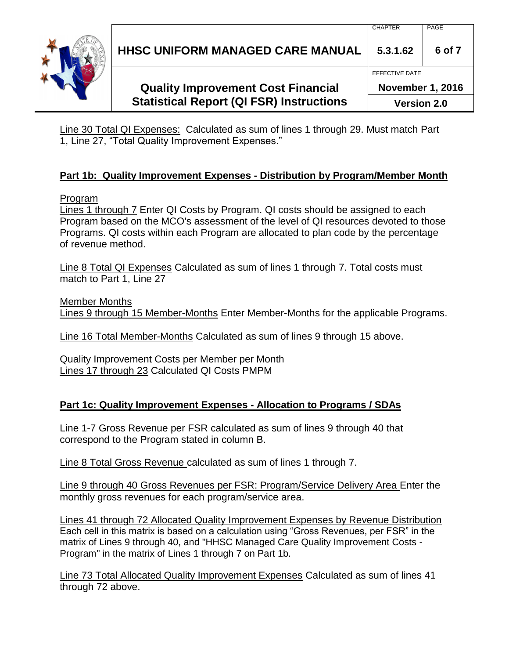**HHSC UNIFORM MANAGED CARE MANUAL 5.3.1.62 6 of 7**

# **Quality Improvement Cost Financial Statistical Report (QI FSR) Instructions**

**Version 2.0**

Line 30 Total QI Expenses: Calculated as sum of lines 1 through 29. Must match Part 1, Line 27, "Total Quality Improvement Expenses."

#### **Part 1b: Quality Improvement Expenses - Distribution by Program/Member Month**

#### Program

Lines 1 through 7 Enter QI Costs by Program. QI costs should be assigned to each Program based on the MCO's assessment of the level of QI resources devoted to those Programs. QI costs within each Program are allocated to plan code by the percentage of revenue method.

Line 8 Total QI Expenses Calculated as sum of lines 1 through 7. Total costs must match to Part 1, Line 27

Member Months Lines 9 through 15 Member-Months Enter Member-Months for the applicable Programs.

Line 16 Total Member-Months Calculated as sum of lines 9 through 15 above.

Quality Improvement Costs per Member per Month Lines 17 through 23 Calculated QI Costs PMPM

#### **Part 1c: Quality Improvement Expenses - Allocation to Programs / SDAs**

Line 1-7 Gross Revenue per FSR calculated as sum of lines 9 through 40 that correspond to the Program stated in column B.

Line 8 Total Gross Revenue calculated as sum of lines 1 through 7.

Line 9 through 40 Gross Revenues per FSR: Program/Service Delivery Area Enter the monthly gross revenues for each program/service area.

Lines 41 through 72 Allocated Quality Improvement Expenses by Revenue Distribution Each cell in this matrix is based on a calculation using "Gross Revenues, per FSR" in the matrix of Lines 9 through 40, and "HHSC Managed Care Quality Improvement Costs - Program" in the matrix of Lines 1 through 7 on Part 1b.

Line 73 Total Allocated Quality Improvement Expenses Calculated as sum of lines 41 through 72 above.



**November 1, 2016**

EFFECTIVE DATE